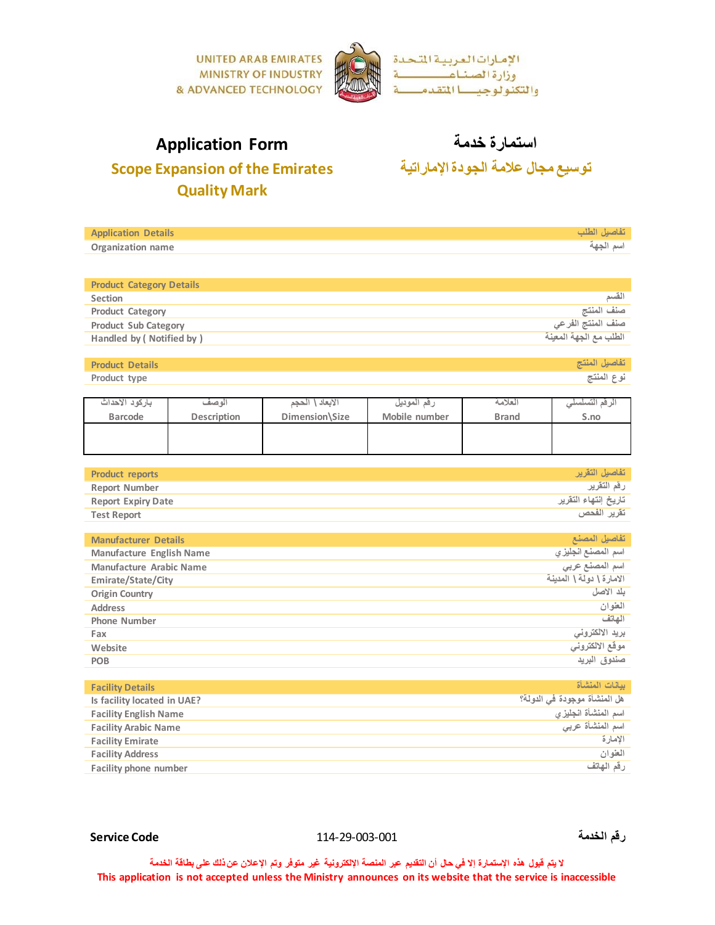

**تفاصيل الطلب Details Application**

# **Scope Expansion of the Emirates Quality Mark**

استمارة **خ**دمة<br> استمارة خدمة الجودة الإماراتية<br> <u>Fapansion of the Emirates</u> توسيع مجال علامة الجودة الإماراتية

| Organization name                       |             |                                     |                                     |                              | اسم الجهة                                   |  |
|-----------------------------------------|-------------|-------------------------------------|-------------------------------------|------------------------------|---------------------------------------------|--|
|                                         |             |                                     |                                     |                              |                                             |  |
| <b>Product Category Details</b>         |             |                                     |                                     |                              |                                             |  |
| <b>Section</b>                          |             |                                     |                                     |                              | القسم                                       |  |
| <b>Product Category</b>                 |             |                                     | صنف المنتج                          |                              |                                             |  |
| <b>Product Sub Category</b>             |             |                                     | صنف المنتج الفرعي                   |                              |                                             |  |
| Handled by (Notified by)                |             |                                     | الطلب مع الجهة المعينة              |                              |                                             |  |
|                                         |             |                                     |                                     |                              |                                             |  |
| <b>Product Details</b>                  |             |                                     |                                     |                              | تفاصيل المنتج                               |  |
| Product type                            |             |                                     |                                     |                              | نوع المنتج                                  |  |
|                                         |             |                                     |                                     |                              |                                             |  |
| باركود الأحداث                          | الوصف       | الأبعاد \ الحجم                     | رقم الموديل                         | العلامة                      | الرقم التسلسلي                              |  |
| <b>Barcode</b>                          | Description | Dimension\Size                      | Mobile number                       | <b>Brand</b>                 | S.no                                        |  |
|                                         |             |                                     |                                     |                              |                                             |  |
|                                         |             |                                     |                                     |                              |                                             |  |
|                                         |             |                                     |                                     |                              |                                             |  |
| <b>Product reports</b>                  |             |                                     |                                     |                              | تفاصيل التقرير                              |  |
| <b>Report Number</b>                    |             | رقم التقرير                         |                                     |                              |                                             |  |
| <b>Report Expiry Date</b>               |             | تاريخ إنتهاء التقرير<br>تقرير الفحص |                                     |                              |                                             |  |
| <b>Test Report</b>                      |             |                                     |                                     |                              |                                             |  |
|                                         |             |                                     |                                     |                              |                                             |  |
| <b>Manufacturer Details</b>             |             |                                     | تفاصيل المصنع<br>اسم المصنع الجليزي |                              |                                             |  |
| <b>Manufacture English Name</b>         |             |                                     |                                     |                              |                                             |  |
| <b>Manufacture Arabic Name</b>          |             |                                     |                                     |                              | اسم المصنع عربي<br>الامارة \ دولة \ المدينة |  |
| Emirate/State/City                      |             |                                     |                                     |                              | بلد الأصل                                   |  |
| <b>Origin Country</b><br><b>Address</b> |             |                                     |                                     |                              | العنوان                                     |  |
| <b>Phone Number</b>                     |             |                                     | الهاتف                              |                              |                                             |  |
|                                         |             |                                     | برید الالکترونی                     |                              |                                             |  |
| Fax<br>Website                          |             |                                     |                                     | موقع الالكتروني              |                                             |  |
| <b>POB</b>                              |             |                                     | صندوق البريد                        |                              |                                             |  |
|                                         |             |                                     |                                     |                              |                                             |  |
| <b>Facility Details</b>                 |             |                                     |                                     |                              | بيانات المنشأة                              |  |
| Is facility located in UAE?             |             |                                     |                                     | هل المنشأة موجودة في الدولة؟ |                                             |  |
| <b>Facility English Name</b>            |             |                                     |                                     | اسم المنشأة انجليزى          |                                             |  |
| <b>Facility Arabic Name</b>             |             |                                     |                                     | اسم المنشأة عربى             |                                             |  |
| <b>Facility Emirate</b>                 |             |                                     |                                     | الإمارة                      |                                             |  |
| <b>Facility Address</b>                 |             |                                     |                                     | العنوان                      |                                             |  |
| <b>Facility phone number</b>            |             |                                     |                                     |                              | رقم الهاتف                                  |  |
|                                         |             |                                     |                                     |                              |                                             |  |

## **رقم الخدمة** 114-29-003-001 **Code Service**

**ال يتم قبول هذه اإلستمارة إال في حال أن التقديم عبر المنصة اإللكترونية غير متوفر وتم اإلعالن عن ذلك على بطاقة الخدمة This application is not accepted unless the Ministry announces on its website that the service is inaccessible**